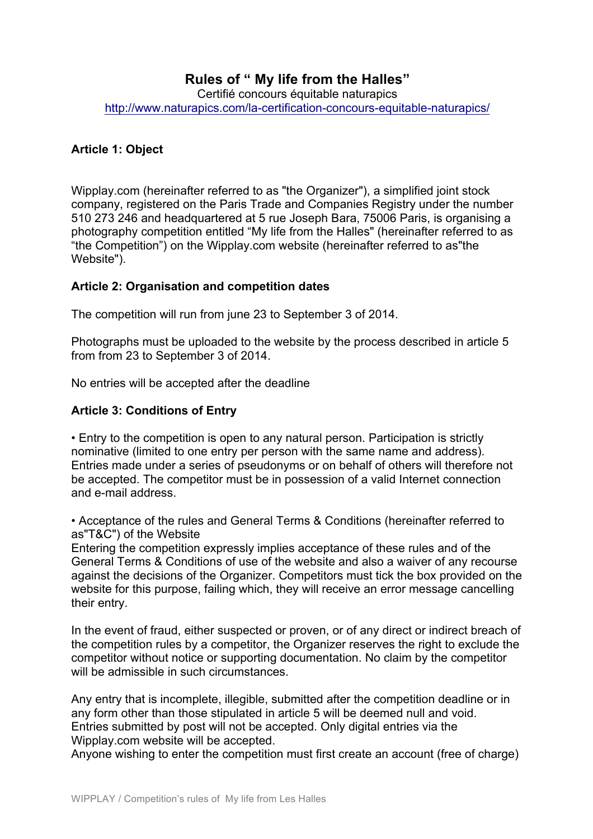### **Rules of " My life from the Halles"** Certifié concours équitable naturapics http://www.naturapics.com/la-certification-concours-equitable-naturapics/

### **Article 1: Object**

Wipplay.com (hereinafter referred to as "the Organizer"), a simplified joint stock company, registered on the Paris Trade and Companies Registry under the number 510 273 246 and headquartered at 5 rue Joseph Bara, 75006 Paris, is organising a photography competition entitled "My life from the Halles" (hereinafter referred to as "the Competition") on the Wipplay.com website (hereinafter referred to as"the Website").

### **Article 2: Organisation and competition dates**

The competition will run from june 23 to September 3 of 2014.

Photographs must be uploaded to the website by the process described in article 5 from from 23 to September 3 of 2014.

No entries will be accepted after the deadline

### **Article 3: Conditions of Entry**

• Entry to the competition is open to any natural person. Participation is strictly nominative (limited to one entry per person with the same name and address). Entries made under a series of pseudonyms or on behalf of others will therefore not be accepted. The competitor must be in possession of a valid Internet connection and e-mail address.

• Acceptance of the rules and General Terms & Conditions (hereinafter referred to as"T&C") of the Website

Entering the competition expressly implies acceptance of these rules and of the General Terms & Conditions of use of the website and also a waiver of any recourse against the decisions of the Organizer. Competitors must tick the box provided on the website for this purpose, failing which, they will receive an error message cancelling their entry.

In the event of fraud, either suspected or proven, or of any direct or indirect breach of the competition rules by a competitor, the Organizer reserves the right to exclude the competitor without notice or supporting documentation. No claim by the competitor will be admissible in such circumstances.

Any entry that is incomplete, illegible, submitted after the competition deadline or in any form other than those stipulated in article 5 will be deemed null and void. Entries submitted by post will not be accepted. Only digital entries via the Wipplay.com website will be accepted.

Anyone wishing to enter the competition must first create an account (free of charge)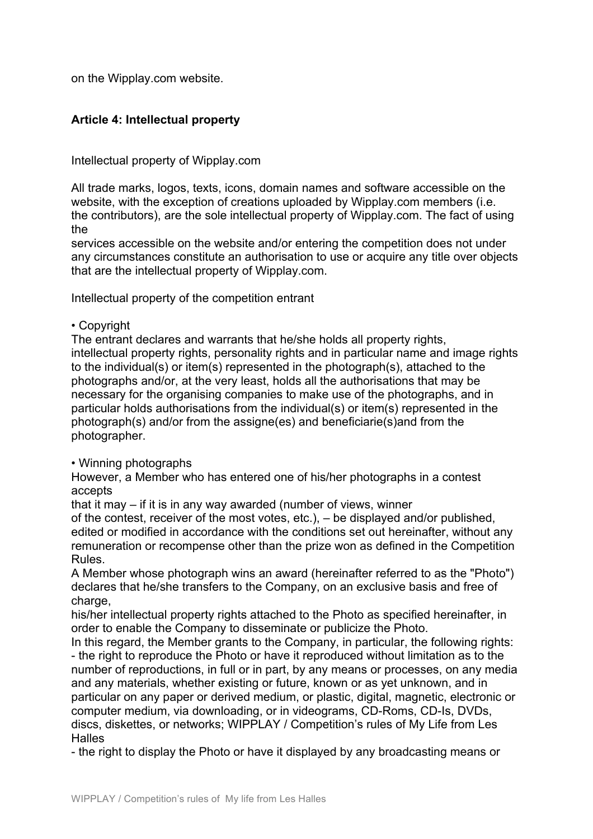on the Wipplay.com website.

# **Article 4: Intellectual property**

Intellectual property of Wipplay.com

All trade marks, logos, texts, icons, domain names and software accessible on the website, with the exception of creations uploaded by Wipplay.com members (i.e. the contributors), are the sole intellectual property of Wipplay.com. The fact of using the

services accessible on the website and/or entering the competition does not under any circumstances constitute an authorisation to use or acquire any title over objects that are the intellectual property of Wipplay.com.

Intellectual property of the competition entrant

#### • Copyright

The entrant declares and warrants that he/she holds all property rights, intellectual property rights, personality rights and in particular name and image rights to the individual(s) or item(s) represented in the photograph(s), attached to the photographs and/or, at the very least, holds all the authorisations that may be necessary for the organising companies to make use of the photographs, and in particular holds authorisations from the individual(s) or item(s) represented in the photograph(s) and/or from the assigne(es) and beneficiarie(s)and from the photographer.

### • Winning photographs

However, a Member who has entered one of his/her photographs in a contest accepts

that it may – if it is in any way awarded (number of views, winner

of the contest, receiver of the most votes, etc.), – be displayed and/or published, edited or modified in accordance with the conditions set out hereinafter, without any remuneration or recompense other than the prize won as defined in the Competition Rules.

A Member whose photograph wins an award (hereinafter referred to as the "Photo") declares that he/she transfers to the Company, on an exclusive basis and free of charge.

his/her intellectual property rights attached to the Photo as specified hereinafter, in order to enable the Company to disseminate or publicize the Photo.

In this regard, the Member grants to the Company, in particular, the following rights: - the right to reproduce the Photo or have it reproduced without limitation as to the number of reproductions, in full or in part, by any means or processes, on any media and any materials, whether existing or future, known or as yet unknown, and in particular on any paper or derived medium, or plastic, digital, magnetic, electronic or computer medium, via downloading, or in videograms, CD-Roms, CD-Is, DVDs, discs, diskettes, or networks; WIPPLAY / Competition's rules of My Life from Les **Halles** 

- the right to display the Photo or have it displayed by any broadcasting means or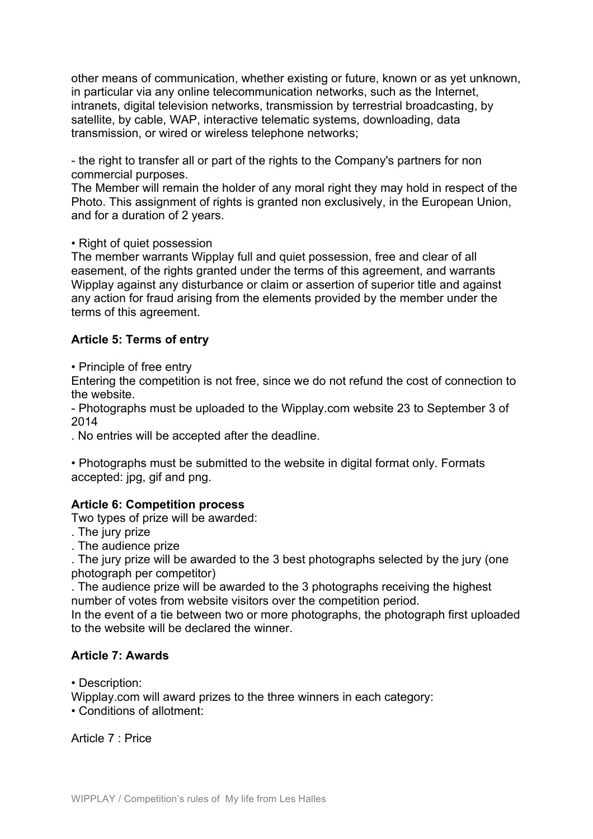other means of communication, whether existing or future, known or as yet unknown, in particular via any online telecommunication networks, such as the Internet, intranets, digital television networks, transmission by terrestrial broadcasting, by satellite, by cable, WAP, interactive telematic systems, downloading, data transmission, or wired or wireless telephone networks;

- the right to transfer all or part of the rights to the Company's partners for non commercial purposes.

The Member will remain the holder of any moral right they may hold in respect of the Photo. This assignment of rights is granted non exclusively, in the European Union, and for a duration of 2 years.

• Right of quiet possession

The member warrants Wipplay full and quiet possession, free and clear of all easement, of the rights granted under the terms of this agreement, and warrants Wipplay against any disturbance or claim or assertion of superior title and against any action for fraud arising from the elements provided by the member under the terms of this agreement.

# **Article 5: Terms of entry**

• Principle of free entry

Entering the competition is not free, since we do not refund the cost of connection to the website.

- Photographs must be uploaded to the Wipplay.com website 23 to September 3 of 2014

. No entries will be accepted after the deadline.

• Photographs must be submitted to the website in digital format only. Formats accepted: jpg, gif and png.

## **Article 6: Competition process**

Two types of prize will be awarded:

- . The jury prize
- . The audience prize

. The jury prize will be awarded to the 3 best photographs selected by the jury (one photograph per competitor)

. The audience prize will be awarded to the 3 photographs receiving the highest number of votes from website visitors over the competition period.

In the event of a tie between two or more photographs, the photograph first uploaded to the website will be declared the winner.

## **Article 7: Awards**

• Description:

Wipplay.com will award prizes to the three winners in each category:

• Conditions of allotment:

Article 7 : Price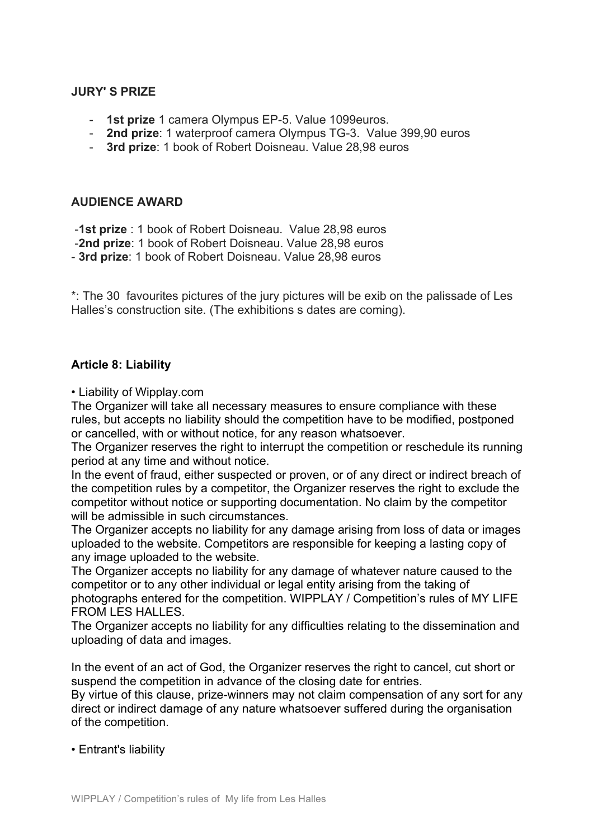### **JURY' S PRIZE**

- **1st prize** 1 camera Olympus EP-5. Value 1099euros.
- **2nd prize**: 1 waterproof camera Olympus TG-3. Value 399,90 euros
- **3rd prize**: 1 book of Robert Doisneau. Value 28,98 euros

### **AUDIENCE AWARD**

-**1st prize** : 1 book of Robert Doisneau. Value 28,98 euros

- -**2nd prize**: 1 book of Robert Doisneau. Value 28,98 euros
- **3rd prize**: 1 book of Robert Doisneau. Value 28,98 euros

\*: The 30 favourites pictures of the jury pictures will be exib on the palissade of Les Halles's construction site. (The exhibitions s dates are coming).

### **Article 8: Liability**

• Liability of Wipplay.com

The Organizer will take all necessary measures to ensure compliance with these rules, but accepts no liability should the competition have to be modified, postponed or cancelled, with or without notice, for any reason whatsoever.

The Organizer reserves the right to interrupt the competition or reschedule its running period at any time and without notice.

In the event of fraud, either suspected or proven, or of any direct or indirect breach of the competition rules by a competitor, the Organizer reserves the right to exclude the competitor without notice or supporting documentation. No claim by the competitor will be admissible in such circumstances.

The Organizer accepts no liability for any damage arising from loss of data or images uploaded to the website. Competitors are responsible for keeping a lasting copy of any image uploaded to the website.

The Organizer accepts no liability for any damage of whatever nature caused to the competitor or to any other individual or legal entity arising from the taking of photographs entered for the competition. WIPPLAY / Competition's rules of MY LIFE FROM LES HALLES.

The Organizer accepts no liability for any difficulties relating to the dissemination and uploading of data and images.

In the event of an act of God, the Organizer reserves the right to cancel, cut short or suspend the competition in advance of the closing date for entries. By virtue of this clause, prize-winners may not claim compensation of any sort for any direct or indirect damage of any nature whatsoever suffered during the organisation of the competition.

#### • Entrant's liability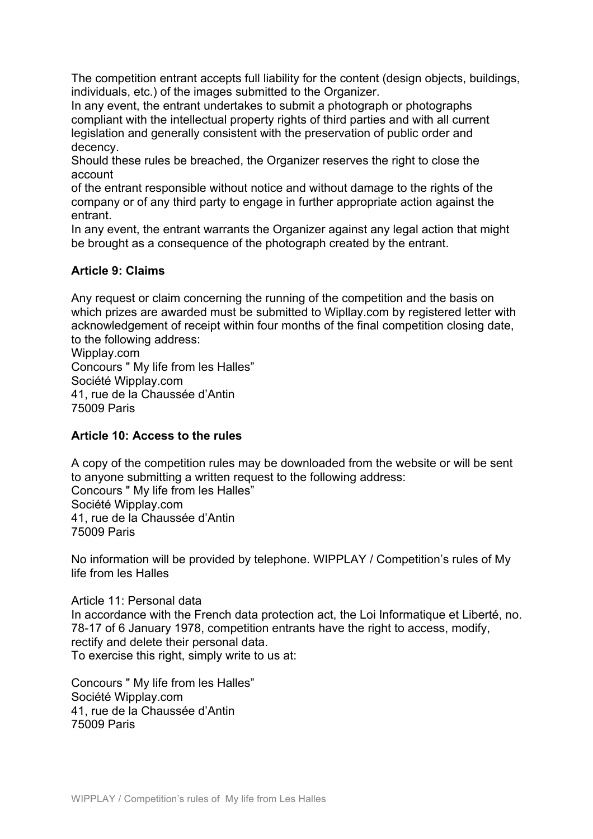The competition entrant accepts full liability for the content (design objects, buildings, individuals, etc.) of the images submitted to the Organizer.

In any event, the entrant undertakes to submit a photograph or photographs compliant with the intellectual property rights of third parties and with all current legislation and generally consistent with the preservation of public order and decency.

Should these rules be breached, the Organizer reserves the right to close the account

of the entrant responsible without notice and without damage to the rights of the company or of any third party to engage in further appropriate action against the entrant.

In any event, the entrant warrants the Organizer against any legal action that might be brought as a consequence of the photograph created by the entrant.

### **Article 9: Claims**

Any request or claim concerning the running of the competition and the basis on which prizes are awarded must be submitted to Wipllay.com by registered letter with acknowledgement of receipt within four months of the final competition closing date, to the following address:

Wipplay.com Concours " My life from les Halles" Société Wipplay.com 41, rue de la Chaussée d'Antin 75009 Paris

### **Article 10: Access to the rules**

A copy of the competition rules may be downloaded from the website or will be sent to anyone submitting a written request to the following address: Concours " My life from les Halles" Société Wipplay.com 41, rue de la Chaussée d'Antin 75009 Paris

No information will be provided by telephone. WIPPLAY / Competition's rules of My life from les Halles

Article 11: Personal data In accordance with the French data protection act, the Loi Informatique et Liberté, no. 78-17 of 6 January 1978, competition entrants have the right to access, modify, rectify and delete their personal data. To exercise this right, simply write to us at:

Concours " My life from les Halles" Société Wipplay.com 41, rue de la Chaussée d'Antin 75009 Paris